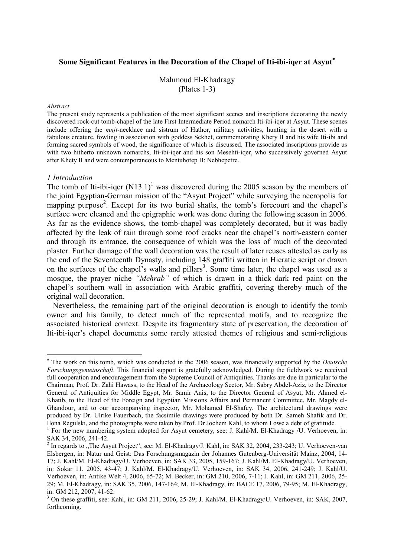# **Some Significant Features in the Decoration of the Chapel of Iti-ibi-iqer at Asyut**<sup>∗</sup>

Mahmoud El-Khadragy (Plates 1-3)

#### *Abstract*

The present study represents a publication of the most significant scenes and inscriptions decorating the newly discovered rock-cut tomb-chapel of the late First Intermediate Period nomarch Iti-ibi-iqer at Asyut. These scenes include offering the *mnjt*-necklace and sistrum of Hathor, military activities, hunting in the desert with a fabulous creature, fowling in association with goddess Sekhet, commemorating Khety II and his wife Iti-ibi and forming sacred symbols of wood, the significance of which is discussed. The associated inscriptions provide us with two hitherto unknown nomarchs, Iti-ibi-iqer and his son Mesehti-iqer, who successively governed Asyut after Khety II and were contemporaneous to Mentuhotep II: Nebhepetre.

#### *1 Introduction*

-

The tomb of Iti-ibi-iqer  $(N13.1)^1$  was discovered during the 2005 season by the members of the joint Egyptian-German mission of the "Asyut Project" while surveying the necropolis for mapping purpose<sup>2</sup>. Except for its two burial shafts, the tomb's forecourt and the chapel's surface were cleaned and the epigraphic work was done during the following season in 2006. As far as the evidence shows, the tomb-chapel was completely decorated, but it was badly affected by the leak of rain through some roof cracks near the chapel's north-eastern corner and through its entrance, the consequence of which was the loss of much of the decorated plaster. Further damage of the wall decoration was the result of later reuses attested as early as the end of the Seventeenth Dynasty, including 148 graffiti written in Hieratic script or drawn on the surfaces of the chapel's walls and pillars<sup>3</sup>. Some time later, the chapel was used as a mosque, the prayer niche *"Mehrab"* of which is drawn in a thick dark red paint on the chapel's southern wall in association with Arabic graffiti, covering thereby much of the original wall decoration.

 Nevertheless, the remaining part of the original decoration is enough to identify the tomb owner and his family, to detect much of the represented motifs, and to recognize the associated historical context. Despite its fragmentary state of preservation, the decoration of Iti-ibi-iqer's chapel documents some rarely attested themes of religious and semi-religious

<sup>∗</sup> The work on this tomb, which was conducted in the 2006 season, was financially supported by the *Deutsche Forschungsgemeinschaft*. This financial support is gratefully acknowledged. During the fieldwork we received full cooperation and encouragement from the Supreme Council of Antiquities. Thanks are due in particular to the Chairman, Prof. Dr. Zahi Hawass, to the Head of the Archaeology Sector, Mr. Sabry Abdel-Aziz, to the Director General of Antiquities for Middle Egypt, Mr. Samir Anis, to the Director General of Asyut, Mr. Ahmed el-Khatib, to the Head of the Foreign and Egyptian Missions Affairs and Permanent Committee, Mr. Magdy el-Ghandour, and to our accompanying inspector, Mr. Mohamed El-Shafey. The architectural drawings were produced by Dr. Ulrike Fauerbach, the facsimile drawings were produced by both Dr. Sameh Shafik and Dr. Ilona Regulski, and the photographs were taken by Prof. Dr Jochem Kahl, to whom I owe a debt of gratitude.

<sup>&</sup>lt;sup>1</sup> For the new numbering system adopted for Asyut cemetery, see: J. Kahl/M. El-Khadragy /U. Verhoeven, in: SAK 34, 2006, 241-42.

<sup>&</sup>lt;sup>2</sup> In regards to "The Asyut Project", see: M. El-Khadragy/J. Kahl, in: SAK 32, 2004, 233-243; U. Verhoeven-van Elsbergen, in: Natur und Geist: Das Forschungsmagazin der Johannes Gutenberg-Universität Mainz, 2004, 14- 17; J. Kahl/M. El-Khadragy/U. Verhoeven, in: SAK 33, 2005, 159-167; J. Kahl/M. El-Khadragy/U. Verhoeven, in: Sokar 11, 2005, 43-47; J. Kahl/M. El-Khadragy/U. Verhoeven, in: SAK 34, 2006, 241-249; J. Kahl/U. Verhoeven, in: Antike Welt 4, 2006, 65-72; M. Becker, in: GM 210, 2006, 7-11; J. Kahl, in: GM 211, 2006, 25- 29; M. El-Khadragy, in: SAK 35, 2006, 147-164; M. El-Khadragy, in: BACE 17, 2006, 79-95; M. El-Khadragy, in: GM 212, 2007, 41-62.

<sup>&</sup>lt;sup>3</sup> On these graffiti, see: Kahl, in: GM 211, 2006, 25-29; J. Kahl/M. El-Khadragy/U. Verhoeven, in: SAK, 2007, forthcoming.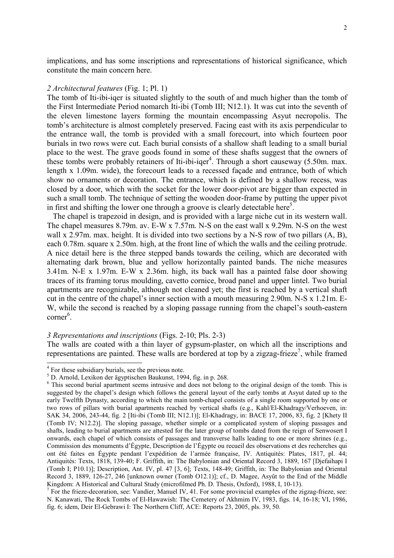implications, and has some inscriptions and representations of historical significance, which constitute the main concern here.

### *2 Architectural features* (Fig. 1; Pl. 1)

The tomb of Iti-ibi-iqer is situated slightly to the south of and much higher than the tomb of the First Intermediate Period nomarch Iti-ibi (Tomb III; N12.1). It was cut into the seventh of the eleven limestone layers forming the mountain encompassing Asyut necropolis. The tomb's architecture is almost completely preserved. Facing east with its axis perpendicular to the entrance wall, the tomb is provided with a small forecourt, into which fourteen poor burials in two rows were cut. Each burial consists of a shallow shaft leading to a small burial place to the west. The grave goods found in some of these shafts suggest that the owners of these tombs were probably retainers of Iti-ibi-iqer<sup>4</sup>. Through a short causeway  $(5.50m$ . max. length x 1.09m. wide), the forecourt leads to a recessed façade and entrance, both of which show no ornaments or decoration. The entrance, which is defined by a shallow recess, was closed by a door, which with the socket for the lower door-pivot are bigger than expected in such a small tomb. The technique of setting the wooden door-frame by putting the upper pivot in first and shifting the lower one through a groove is clearly detectable here<sup>5</sup>.

 The chapel is trapezoid in design, and is provided with a large niche cut in its western wall. The chapel measures 8.79m. av. E-W x 7.57m. N-S on the east wall x 9.29m. N-S on the west wall x 2.97m, max. height. It is divided into two sections by a N-S row of two pillars  $(A, B)$ , each 0.78m. square x 2.50m. high, at the front line of which the walls and the ceiling protrude. A nice detail here is the three stepped bands towards the ceiling, which are decorated with alternating dark brown, blue and yellow horizontally painted bands. The niche measures 3.41m. N-E x 1.97m. E-W x 2.36m. high, its back wall has a painted false door showing traces of its framing torus moulding, cavetto cornice, broad panel and upper lintel. Two burial apartments are recognizable, although not cleaned yet; the first is reached by a vertical shaft cut in the centre of the chapel's inner section with a mouth measuring 2.90m. N-S x 1.21m. E-W, while the second is reached by a sloping passage running from the chapel's south-eastern corner<sup>6</sup>.

#### *3 Representations and inscriptions* (Figs. 2-10; Pls. 2-3)

The walls are coated with a thin layer of gypsum-plaster, on which all the inscriptions and representations are painted. These walls are bordered at top by a zigzag-frieze<sup>7</sup>, while framed

<sup>&</sup>lt;sup>4</sup> For these subsidiary burials, see the previous note.

<sup>5</sup> D. Arnold, Lexikon der ägyptischen Baukunst, 1994, fig. in p. 268.

<sup>&</sup>lt;sup>6</sup> This second burial apartment seems intrusive and does not belong to the original design of the tomb. This is suggested by the chapel's design which follows the general layout of the early tombs at Asyut dated up to the early Twelfth Dynasty, according to which the main tomb-chapel consists of a single room supported by one or two rows of pillars with burial apartments reached by vertical shafts (e.g., Kahl/El-Khadragy/Verhoeven, in: SAK 34, 2006, 243-44, fig. 2 [Iti-ibi (Tomb III; N12.1)]; El-Khadragy, in: BACE 17, 2006, 83, fig. 2 [Khety II (Tomb IV; N12.2)]. The sloping passage, whether simple or a complicated system of sloping passages and shafts, leading to burial apartments are attested for the later group of tombs dated from the reign of Senwosert I onwards, each chapel of which consists of passages and transverse halls leading to one or more shrines (e.g., Commission des monuments d'Égypte, Description de l'Égypte ou recueil des observations et des recherches qui ont été faites en Égypte pendant l'expédition de l'armée française, IV. Antiquités: Plates, 1817, pl. 44; Antiquités: Texts, 1818, 139-40; F. Griffith, in: The Babylonian and Oriental Record 3, 1889, 167 [Djefaihapi I (Tomb I; P10.1)]; Description, Ant. IV, pl. 47 [3, 6]; Texts, 148-49; Griffith, in: The Babylonian and Oriental Record 3, 1889, 126-27, 246 [unknown owner (Tomb O12.1)]; cf., D. Magee, Asyût to the End of the Middle Kingdom: A Historical and Cultural Study (microfilmed Ph. D. Thesis, Oxford), 1988, I, 10-13).

 $<sup>7</sup>$  For the frieze-decoration, see: Vandier, Manuel IV, 41. For some provincial examples of the zigzag-frieze, see:</sup> N. Kanawati, The Rock Tombs of El-Hawawish: The Cemetery of Akhmim IV, 1983, figs. 14, 16-18; VI, 1986, fig. 6; idem, Deir El-Gebrawi I: The Northern Cliff, ACE: Reports 23, 2005, pls. 39, 50.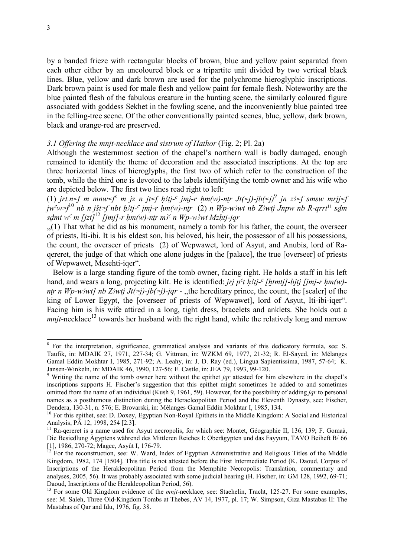by a banded frieze with rectangular blocks of brown, blue and yellow paint separated from each other either by an uncoloured block or a tripartite unit divided by two vertical black lines. Blue, yellow and dark brown are used for the polychrome hieroglyphic inscriptions. Dark brown paint is used for male flesh and yellow paint for female flesh. Noteworthy are the blue painted flesh of the fabulous creature in the hunting scene, the similarly coloured figure associated with goddess Sekhet in the fowling scene, and the inconveniently blue painted tree in the felling-tree scene. Of the other conventionally painted scenes, blue, yellow, dark brown, black and orange-red are preserved.

## *3.1 Offering the mnjt-necklace and sistrum of Hathor* (Fig. 2; Pl. 2a)

Although the westernmost section of the chapel's northern wall is badly damaged, enough remained to identify the theme of decoration and the associated inscriptions. At the top are three horizontal lines of hieroglyphs, the first two of which refer to the construction of the tomb, while the third one is devoted to the labels identifying the tomb owner and his wife who are depicted below. The first two lines read right to left:

(1) *jrt.n=f m mnw=f* m jz n jt=f h}tj-<sup>c</sup> jmj-r hm(w)-ntr Jt(=j)-jb(=j)<sup>9</sup> jn z}=f smsw mrjj=f  $jw^c w=f^{10}$  *nb n jšt=f nbt h3tj-c jmj-r hm(w)-ntr* (2) *n Wp-w3wt nb Z3wtj Jnpw nb R-qrrt*<sup>11</sup> *sdm sdmt* w<sup>c</sup> m [jzt]<sup>12</sup> [jmj]-r hm(w)-ntr m<sup>3c</sup> n Wp-w<sup>3</sup>wt Mzhtj-jqr

,,(1) That what he did as his monument, namely a tomb for his father, the count, the overseer of priests, Iti-ibi. It is his eldest son, his beloved, his heir, the possessor of all his possessions, the count, the overseer of priests (2) of Wepwawet, lord of Asyut, and Anubis, lord of Raqereret, the judge of that which one alone judges in the [palace], the true [overseer] of priests of Wepwawet, Mesehti-iqer".

 Below is a large standing figure of the tomb owner, facing right. He holds a staff in his left hand, and wears a long, projecting kilt. He is identified: *jrj p<sup>c</sup>t h<sub>3tj</sub>-<sup>c</sup> [htmtj]-bjtj [jmj-r hm(w)ntr n Wp-w3wt] nb Z3wtj Jt(=j)-jb(=j)-jqr -* ,,the hereditary prince, the count, the [sealer] of the king of Lower Egypt, the [overseer of priests of Wepwawet], lord of Asyut, Iti-ibi-iqer". Facing him is his wife attired in a long, tight dress, bracelets and anklets. She holds out a *mnjt*-necklace<sup>13</sup> towards her husband with the right hand, while the relatively long and narrow

<sup>&</sup>lt;sup>8</sup> For the interpretation, significance, grammatical analysis and variants of this dedicatory formula, see: S. Taufik, in: MDAIK 27, 1971, 227-34; G. Vittman, in: WZKM 69, 1977, 21-32; R. El-Sayed, in: Mélanges Gamal Eddin Mokhtar I, 1985, 271-92; A. Leahy, in: J. D. Ray (ed.), Lingua Sapientissima, 1987, 57-64; K. Jansen-Winkeln, in: MDAIK 46, 1990, 127-56; E. Castle, in: JEA 79, 1993, 99-120.

<sup>9</sup> Writing the name of the tomb owner here without the epithet *jqr* attested for him elsewhere in the chapel's inscriptions supports H. Fischer's suggestion that this epithet might sometimes be added to and sometimes omitted from the name of an individual (Kush 9, 1961, 59). However, for the possibility of adding *jqr* to personal names as a posthumous distinction during the Heracleopolitan Period and the Eleventh Dynasty, see: Fischer, Dendera, 130-31, n. 576; E. Brovarski, in: Mélanges Gamal Eddin Mokhtar I, 1985, 134.

<sup>&</sup>lt;sup>10</sup> For this epithet, see: D. Doxey, Egyptian Non-Royal Epithets in the Middle Kingdom: A Social and Historical Analysis, PÄ 12, 1998, 254 [2.3].

<sup>&</sup>lt;sup>11</sup> Ra-qereret is a name used for Asyut necropolis, for which see: Montet, Géographie II, 136, 139; F. Gomaà, Die Besiedlung Ägyptens während des Mittleren Reiches I: Oberägypten und das Fayyum, TAVO Beiheft B/ 66 [1], 1986, 270-72; Magee, Asyût I, 176-79.

<sup>&</sup>lt;sup>12</sup> For the reconstruction, see: W. Ward, Index of Egyptian Administrative and Religious Titles of the Middle Kingdom, 1982, 174 [1504]. This title is not attested before the First Intermediate Period (K. Daoud, Corpus of Inscriptions of the Herakleopolitan Period from the Memphite Necropolis: Translation, commentary and analyses, 2005, 56). It was probably associated with some judicial hearing (H. Fischer, in: GM 128, 1992, 69-71; Daoud, Inscriptions of the Herakleopolitan Period, 56).

<sup>&</sup>lt;sup>13</sup> For some Old Kingdom evidence of the *mnit*-necklace, see: Staehelin, Tracht, 125-27. For some examples, see: M. Saleh, Three Old-Kingdom Tombs at Thebes, AV 14, 1977, pl. 17; W. Simpson, Giza Mastabas II: The Mastabas of Qar and Idu, 1976, fig. 38.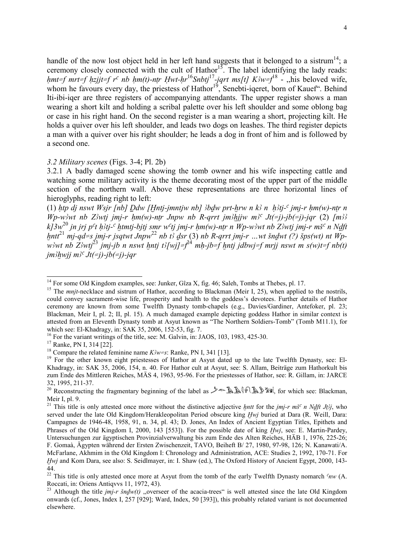handle of the now lost object held in her left hand suggests that it belonged to a sistrum<sup>14</sup>; a ceremony closely connected with the cult of Hathor<sup>15</sup>. The label identifying the lady reads: *hmt=f mrt=f hzjjt=f r<sup>c</sup> nb hm(t)-ntr Hwt-hr*<sup>16</sup>*Snbtj*<sup>17</sup>-jqrt ms[t] K3w=f<sup>18</sup> - "his beloved wife, whom he favours every day, the priestess of Hathor<sup>19</sup>, Senebti-iqeret, born of Kauef". Behind Iti-ibi-iqer are three registers of accompanying attendants. The upper register shows a man wearing a short kilt and holding a scribal palette over his left shoulder and some oblong bag or case in his right hand. On the second register is a man wearing a short, projecting kilt. He holds a quiver over his left shoulder, and leads two dogs on leashes. The third register depicts a man with a quiver over his right shoulder; he leads a dog in front of him and is followed by a second one.

## *3.2 Military scenes* (Figs. 3-4; Pl. 2b)

3.2.1 A badly damaged scene showing the tomb owner and his wife inspecting cattle and watching some military activity is the theme decorating most of the upper part of the middle section of the northern wall. Above these representations are three horizontal lines of hieroglyphs, reading right to left:

(1) *htp di nswt Wsir [nb] Ddw [Hntj-jmntjw nb] 3bdw prt-hrw n k3 n h3tj-<sup>c</sup> jmj-r hm(w)-ntr n Wp-w*<sup>3</sup>wt nb *Z*<sup>3</sup>wti imi-r hm(w)-ntr Jnpw nb R-qrrt im<sup>3</sup>hijw m<sup>3</sup><sup>c</sup> Jt(=j)-jb(=j)-jqr (2)  $\{m_3^2\}$ *k]3w*<sup>20</sup> jn jrj p<sup>c</sup>t h3tj-<sup>c</sup> htmtj-bjtj smr w<sup>c</sup>tj jmj-r hm(w)-ntr n Wp-w3wt nb Z3wtj jmj-r mš<sup>c</sup> n Ndft  $x^2$  mi-qd=s imi-r isqtwt Jnpw<sup>22</sup> nb t<sub>2</sub><sup>2</sup> dsr (3) nb R-qrrt imi-r …wt šndwt (?) šps(wt) nt Wp*w*<sub>3</sub> wt nb  $Z_3$  wtj<sup>23</sup> jmj-jb n nswt hntj t $\frac{1}{2}$ [wj]=f<sup>24</sup> mh-jb=f hntj jdbwj=f mrjj nswt m s(w)t=f nb(t)  $jm\frac{3}{w}$ j m<sup>3c</sup> Jt(=j)-jb(=j)-jqr

<sup>&</sup>lt;sup>14</sup> For some Old Kingdom examples, see: Junker, Gîza X, fig. 46; Saleh, Tombs at Thebes, pl. 17.

<sup>&</sup>lt;sup>15</sup> The *mnjt*-necklace and sistrum of Hathor, according to Blackman (Meir I, 25), when applied to the nostrils, could convey sacrament-wise life, prosperity and health to the goddess's devotees. Further details of Hathor ceremony are known from some Twelfth Dynasty tomb-chapels (e.g., Davies/Gardiner, Antefoker, pl. 23; Blackman, Meir I, pl. 2; II, pl. 15). A much damaged example depicting goddess Hathor in similar context is attested from an Eleventh Dynasty tomb at Asyut known as "The Northern Soldiers-Tomb" (Tomb M11.1), for which see: El-Khadragy, in: SAK 35, 2006, 152-53, fig. 7.

<sup>&</sup>lt;sup>16</sup> For the variant writings of the title, see: M. Galvin, in: JAOS, 103, 1983, 425-30.

<sup>17</sup> Ranke, PN I, 314 [22].

<sup>&</sup>lt;sup>18</sup> Compare the related feminine name  $K^2w=$ s: Ranke, PN I, 341 [13].

<sup>&</sup>lt;sup>19</sup> For the other known eight priestesses of Hathor at Asyut dated up to the late Twelfth Dynasty, see: El-Khadragy, in: SAK 35, 2006, 154, n. 40. For Hathor cult at Asyut, see: S. Allam, Beiträge zum Hathorkult bis zum Ende des Mittleren Reiches, MÄS 4, 1963, 95-96. For the priestesses of Hathor, see: R. Gillam, in: JARCE 32, 1995, 211-37.

<sup>&</sup>lt;sup>20</sup> Reconstructing the fragmentary beginning of the label as  $\mathscr{P} \cong \mathbb{R} \mathbb{R} \setminus \mathbb{R} \times \mathbb{R}$ , for which see: Blackman, Meir I, pl. 9.

<sup>&</sup>lt;sup>21</sup> This title is only attested once more without the distinctive adjective *hntt* for the *jmj-r mš<sup>c</sup> n Ndft Jtj*, who served under the late Old Kingdom/Herakleopolitan Period obscure king *Hwi* buried at Dara (R. Weill, Dara: Campagnes de 1946-48, 1958, 91, n. 34, pl. 43; D. Jones, An Index of Ancient Egyptian Titles, Epithets and Phrases of the Old Kingdom I, 2000, 143 [553]). For the possible date of king *Hwj*, see: E. Martin-Pardey, Untersuchungen zur ägyptischen Provinzialverwaltung bis zum Ende des Alten Reiches, HÄB 1, 1976, 225-26; F. Gomaà, Ägypten während der Ersten Zwischenzeit, TAVO, Beiheft B/ 27, 1980, 97-98, 126; N. Kanawati/A. McFarlane, Akhmim in the Old Kingdom I: Chronology and Administration, ACE: Studies 2, 1992, 170-71. For *Hwi* and Kom Dara, see also: S. Seidlmayer, in: I. Shaw (ed.), The Oxford History of Ancient Egypt, 2000, 143-44.

<sup>&</sup>lt;sup>22</sup> This title is only attested once more at Asyut from the tomb of the early Twelfth Dynasty nomarch  $c_{nw}$  (A. Roccati, in: Oriens Antiqvvs 11, 1972, 43).

<sup>&</sup>lt;sup>23</sup> Although the title *jmj-r šndw(t)* "overseer of the acacia-trees" is well attested since the late Old Kingdom onwards (cf., Jones, Index I, 257 [929]; Ward, Index, 50 [393]), this probably related variant is not documented elsewhere.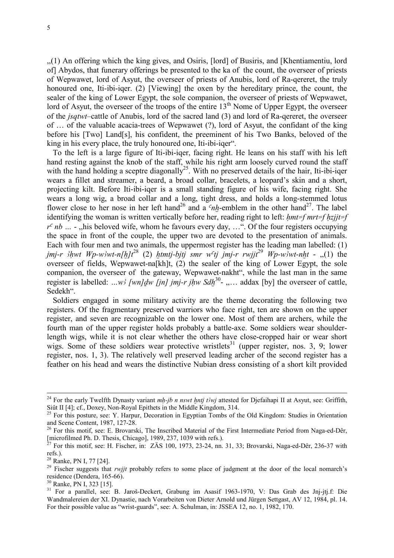,,(1) An offering which the king gives, and Osiris, [lord] of Busiris, and [Khentiamentiu, lord of] Abydos, that funerary offerings be presented to the ka of the count, the overseer of priests of Wepwawet, lord of Asyut, the overseer of priests of Anubis, lord of Ra-qereret, the truly honoured one, Iti-ibi-iqer. (2) [Viewing] the oxen by the hereditary prince, the count, the sealer of the king of Lower Egypt, the sole companion, the overseer of priests of Wepwawet, lord of Asyut, the overseer of the troops of the entire  $13<sup>th</sup>$  Nome of Upper Egypt, the overseer of the *jsqtwt*–cattle of Anubis, lord of the sacred land (3) and lord of Ra-qereret, the overseer of … of the valuable acacia-trees of Wepwawet (?), lord of Asyut, the confidant of the king before his [Two] Land[s], his confident, the preeminent of his Two Banks, beloved of the king in his every place, the truly honoured one, Iti-ibi-iqer".

 To the left is a large figure of Iti-ibi-iqer, facing right. He leans on his staff with his left hand resting against the knob of the staff, while his right arm loosely curved round the staff with the hand holding a sceptre diagonally<sup>25</sup>. With no preserved details of the hair, Iti-ibi-iqer wears a fillet and streamer, a beard, a broad collar, bracelets, a leopard's skin and a short, projecting kilt. Before Iti-ibi-iqer is a small standing figure of his wife, facing right. She wears a long wig, a broad collar and a long, tight dress, and holds a long-stemmed lotus flower close to her nose in her left hand<sup>26</sup> and a  $<sup>c</sup>nh$ -emblem in the other hand<sup>27</sup>. The label</sup> identifying the woman is written vertically before her, reading right to left: *Hmt=f mrt=f Hzjjt=f*   $r^c$  *nb* ... - ,,his beloved wife, whom he favours every day, ...". Of the four registers occupying the space in front of the couple, the upper two are devoted to the presentation of animals. Each with four men and two animals, the uppermost register has the leading man labelled: (1) *jmj-r*  $3hwt Wp-w^2wt-n/hlt^2$  (2) *htmtj-bjtj smr w<sup>c</sup>tj jmj-r rwjjt*<sup>29</sup> *Wp-w* $3wt-nht$  - ,,(1) the overseer of fields, Wepwawet-na[kh]t, (2) the sealer of the king of Lower Egypt, the sole companion, the overseer of the gateway, Wepwawet-nakht", while the last man in the same register is labelled:  $...w$  [wn]dw [jn] jmj-r jhw  $Sdh^{30}$ - ,... addax [by] the overseer of cattle, Sedekh".

 Soldiers engaged in some military activity are the theme decorating the following two registers. Of the fragmentary preserved warriors who face right, ten are shown on the upper register, and seven are recognizable on the lower one. Most of them are archers, while the fourth man of the upper register holds probably a battle-axe. Some soldiers wear shoulderlength wigs, while it is not clear whether the others have close-cropped hair or wear short wigs. Some of these soldiers wear protective wristlets<sup>31</sup> (upper register, nos. 3, 9; lower register, nos. 1, 3). The relatively well preserved leading archer of the second register has a feather on his head and wears the distinctive Nubian dress consisting of a short kilt provided

-

<sup>30</sup> Ranke, PN I, 323 [15].

<sup>&</sup>lt;sup>24</sup> For the early Twelfth Dynasty variant  $mh\text{-}jb$  n nswt  $h\text{-}ntj$  that the steed for Djefaihapi II at Asyut, see: Griffith, Siût II [4]; cf., Doxey, Non-Royal Epithets in the Middle Kingdom, 314.

<sup>&</sup>lt;sup>25</sup> For this posture, see: Y. Harpur, Decoration in Egyptian Tombs of the Old Kingdom: Studies in Orientation and Scene Content, 1987, 127-28.

<sup>&</sup>lt;sup>26</sup> For this motif, see: E. Brovarski, The Inscribed Material of the First Intermediate Period from Naga-ed-Dêr, [microfilmed Ph. D. Thesis, Chicago], 1989, 237, 1039 with refs.).

<sup>27</sup> For this motif, see: H. Fischer, in: ZÄS 100, 1973, 23-24, nn. 31, 33; Brovarski, Naga-ed-Dêr, 236-37 with refs.).

 $28$  Ranke, PN I, 77 [24].

<sup>&</sup>lt;sup>29</sup> Fischer suggests that *rwjjt* probably refers to some place of judgment at the door of the local nomarch's residence (Dendera, 165-66).

<sup>&</sup>lt;sup>31</sup> For a parallel, see: B. Jaroš-Deckert, Grabung im Asasif 1963-1970, V: Das Grab des Jnj-jtj.f: Die Wandmalereien der XI. Dynastie, nach Vorarbeiten von Dieter Arnold und Jürgen Settgast, AV 12, 1984, pl. 14. For their possible value as "wrist-guards", see: A. Schulman, in: JSSEA 12, no. 1, 1982, 170.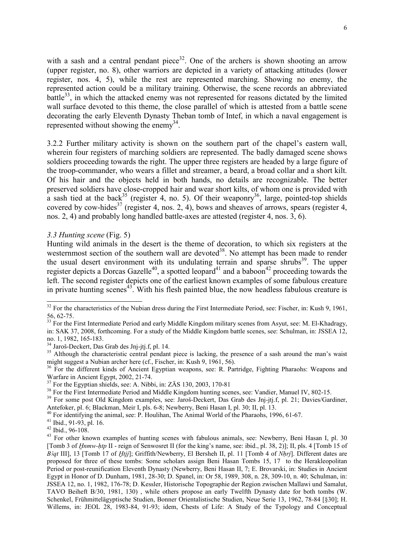with a sash and a central pendant piece<sup>32</sup>. One of the archers is shown shooting an arrow (upper register, no. 8), other warriors are depicted in a variety of attacking attitudes (lower register, nos. 4, 5), while the rest are represented marching. Showing no enemy, the represented action could be a military training. Otherwise, the scene records an abbreviated battle $33$ , in which the attacked enemy was not represented for reasons dictated by the limited wall surface devoted to this theme, the close parallel of which is attested from a battle scene decorating the early Eleventh Dynasty Theban tomb of Intef, in which a naval engagement is represented without showing the enemy<sup>34</sup>.

3.2.2 Further military activity is shown on the southern part of the chapel's eastern wall, wherein four registers of marching soldiers are represented. The badly damaged scene shows soldiers proceeding towards the right. The upper three registers are headed by a large figure of the troop-commander, who wears a fillet and streamer, a beard, a broad collar and a short kilt. Of his hair and the objects held in both hands, no details are recognizable. The better preserved soldiers have close-cropped hair and wear short kilts, of whom one is provided with a sash tied at the back<sup>35</sup> (register 4, no. 5). Of their weaponry<sup>36</sup>, large, pointed-top shields  $\frac{1}{2}$  covered by cow-hides<sup>37</sup> (register 4, nos. 2, 4), bows and sheaves of arrows, spears (register 4,  $\frac{1}{2}$ ) nos. 2, 4) and probably long handled battle-axes are attested (register 4, nos. 3, 6).

# *3.3 Hunting scene* (Fig. 5)

Hunting wild animals in the desert is the theme of decoration, to which six registers at the westernmost section of the southern wall are devoted<sup>38</sup>. No attempt has been made to render the usual desert environment with its undulating terrain and sparse shrubs<sup>39</sup>. The upper register depicts a Dorcas Gazelle<sup>40</sup>, a spotted leopard<sup>41</sup> and a baboon<sup>42</sup> proceeding towards the left. The second register depicts one of the earliest known examples of some fabulous creature in private hunting scenes<sup>43</sup>. With his flesh painted blue, the now headless fabulous creature is

 $32$  For the characteristics of the Nubian dress during the First Intermediate Period, see: Fischer, in: Kush 9, 1961, 56, 62-75.

<sup>&</sup>lt;sup>33</sup> For the First Intermediate Period and early Middle Kingdom military scenes from Asyut, see: M. El-Khadragy, in: SAK 37, 2008, forthcoming. For a study of the Middle Kingdom battle scenes, see: Schulman, in: JSSEA 12, no. 1, 1982, 165-183.

<sup>&</sup>lt;sup>34</sup> Jaroš-Deckert, Das Grab des Jnj-jtj.f, pl. 14.

<sup>&</sup>lt;sup>35</sup> Although the characteristic central pendant piece is lacking, the presence of a sash around the man's waist might suggest a Nubian archer here (cf., Fischer, in: Kush 9, 1961, 56).

<sup>&</sup>lt;sup>36</sup> For the different kinds of Ancient Egyptian weapons, see: R. Partridge, Fighting Pharaohs: Weapons and Warfare in Ancient Egypt, 2002, 21-74.

 $\frac{37}{2}$  For the Egyptian shields, see: A. Nibbi, in: ZÄS 130, 2003, 170-81

<sup>&</sup>lt;sup>38</sup> For the First Intermediate Period and Middle Kingdom hunting scenes, see: Vandier, Manuel IV, 802-15.

<sup>&</sup>lt;sup>39</sup> For some post Old Kingdom examples, see: Jaroš-Deckert, Das Grab des Jnj-jtj.f, pl. 21; Davies/Gardiner, Antefoker, pl. 6; Blackman, Meir I, pls. 6-8; Newberry, Beni Hasan I, pl. 30; II, pl. 13.

<sup>&</sup>lt;sup>40</sup> For identifying the animal, see: P. Houlihan, The Animal World of the Pharaohs, 1996, 61-67.

<sup>41</sup> Ibid., 91-93, pl. 16.

<sup>42</sup> Ibid., 96-108.

<sup>&</sup>lt;sup>43</sup> For other known examples of hunting scenes with fabulous animals, see: Newberry, Beni Hasan I, pl. 30 [Tomb 3 of *Hnmw-htp* II - reign of Senwosret II (for the king's name, see: ibid., pl. 38, 2)]; II, pls. 4 [Tomb 15 of *B<sub>i</sub>* at III], 13 [Tomb 17 of *Htij*]; Griffith/Newberry, El Bersheh II, pl. 11 [Tomb 4 of *Nhrj*]. Different dates are proposed for three of these tombs: Some scholars assign Beni Hasan Tombs 15, 17 to the Herakleopolitan Period or post-reunification Eleventh Dynasty (Newberry, Beni Hasan II, 7; E. Brovarski, in: Studies in Ancient Egypt in Honor of D. Dunham, 1981, 28-30; D. Spanel, in: Or 58, 1989, 308, n. 28, 309-10, n. 40; Schulman, in: JSSEA 12, no. 1, 1982, 176-78; D. Kessler, Historische Topographie der Region zwischen Mallawi und Samalut, TAVO Beiheft B/30, 1981, 130) , while others propose an early Twelfth Dynasty date for both tombs (W. Schenkel, Frühmittelägyptische Studien, Bonner Orientalistische Studien, Neue Serie 13, 1962, 78-84 [§30]; H. Willems, in: JEOL 28, 1983-84, 91-93; idem, Chests of Life: A Study of the Typology and Conceptual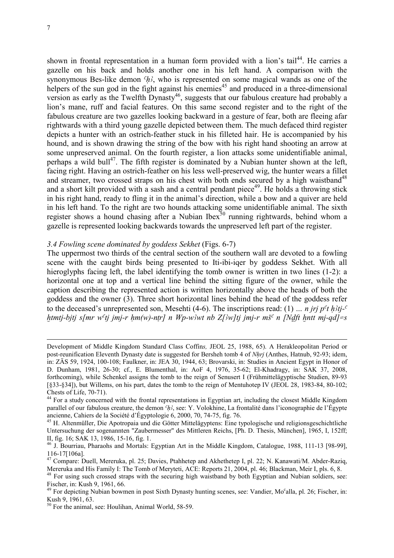-

shown in frontal representation in a human form provided with a lion's tail<sup>44</sup>. He carries a gazelle on his back and holds another one in his left hand. A comparison with the synonymous Bes-like demon  $\partial_t$ , who is represented on some magical wands as one of the helpers of the sun god in the fight against his enemies<sup>45</sup> and produced in a three-dimensional version as early as the Twelfth Dynasty<sup>46</sup>, suggests that our fabulous creature had probably a lion's mane, ruff and facial features. On this same second register and to the right of the fabulous creature are two gazelles looking backward in a gesture of fear, both are fleeing afar rightwards with a third young gazelle depicted between them. The much defaced third register depicts a hunter with an ostrich-feather stuck in his filleted hair. He is accompanied by his hound, and is shown drawing the string of the bow with his right hand shooting an arrow at some unpreserved animal. On the fourth register, a lion attacks some unidentifiable animal, perhaps a wild bull<sup>47</sup>. The fifth register is dominated by a Nubian hunter shown at the left, facing right. Having an ostrich-feather on his less well-preserved wig, the hunter wears a fillet and streamer, two crossed straps on his chest with both ends secured by a high waistband<sup>48</sup> and a short kilt provided with a sash and a central pendant piece<sup>49</sup>. He holds a throwing stick in his right hand, ready to fling it in the animal's direction, while a bow and a quiver are held in his left hand. To the right are two hounds attacking some unidentifiable animal. The sixth register shows a hound chasing after a Nubian Ibex<sup>50</sup> running rightwards, behind whom a gazelle is represented looking backwards towards the unpreserved left part of the register.

# *3.4 Fowling scene dominated by goddess Sekhet* (Figs. 6-7)

The uppermost two thirds of the central section of the southern wall are devoted to a fowling scene with the caught birds being presented to Iti-ibi-iqer by goddess Sekhet. With all hieroglyphs facing left, the label identifying the tomb owner is written in two lines (1-2): a horizontal one at top and a vertical line behind the sitting figure of the owner, while the caption describing the represented action is written horizontally above the heads of both the goddess and the owner (3). Three short horizontal lines behind the head of the goddess refer to the deceased's unrepresented son, Mesehti (4-6). The inscriptions read: (1)  $\ldots$  *n iri*  $p^c t h^2 t^2$ *htmtj-bjtj s[mr w<sup>c</sup>tj jmj-r hm(w)-ntr] n Wp-w<sup>3</sup>wt nb Z[3w]tj jmj-r mš<sup>c</sup> n [Ndft hntt mj-qd] = s* 

Development of Middle Kingdom Standard Class Coffin*s,* JEOL 25, 1988, 65). A Herakleopolitan Period or post-reunification Eleventh Dynasty date is suggested for Bersheh tomb 4 of *NHrj* (Anthes, Hatnub, 92-93; idem, in: ZÄS 59, 1924, 100-108; Faulkner, in: JEA 30, 1944, 63; Brovarski, in: Studies in Ancient Egypt in Honor of D. Dunham, 1981, 26-30; cf., E. Blumenthal, in: AoF 4, 1976, 35-62; El-Khadragy, in: SAK 37, 2008, forthcoming), while Schenkel assigns the tomb to the reign of Senusert I (Frühmittelägyptische Studien, 89-93 [§33-§34]), but Willems, on his part, dates the tomb to the reign of Mentuhotep IV (JEOL 28, 1983-84, 80-102; Chests of Life, 70-71).

<sup>&</sup>lt;sup>44</sup> For a study concerned with the frontal representations in Egyptian art, including the closest Middle Kingdom parallel of our fabulous creature, the demon  $h^2$ , see: Y. Volokhine, La frontalité dans l'iconographie de l'Égypte ancienne, Cahiers de la Société d'Égyptologie 6, 2000, 70, 74-75, fig. 76.

<sup>&</sup>lt;sup>45</sup> H. Altenmüller, Die Apotropaia und die Götter Mittelägyptens: Eine typologische und religionsgeschichtliche Untersuchung der sogenannten "Zaubermesser" des Mittleren Reichs, [Ph. D. Thesis, München], 1965, I, 152ff; II, fig. 16; SAK 13, 1986, 15-16, fig. 1.

<sup>46</sup> J. Bourriau, Pharaohs and Mortals: Egyptian Art in the Middle Kingdom, Catalogue, 1988, 111-13 [98-99], 116-17[106a].

<sup>&</sup>lt;sup>47</sup> Compare: Duell, Mereruka, pl. 25; Davies, Ptahhetep and Akhethetep I, pl. 22; N. Kanawati/M. Abder-Raziq, Mereruka and His Family I: The Tomb of Meryteti, ACE: Reports 21, 2004, pl. 46; Blackman, Meir I, pls. 6, 8.

<sup>&</sup>lt;sup>48</sup> For using such crossed straps with the securing high waistband by both Egyptian and Nubian soldiers, see: Fischer, in: Kush 9, 1961, 66.

<sup>&</sup>lt;sup>49</sup> For depicting Nubian bowmen in post Sixth Dynasty hunting scenes, see: Vandier, Mo<sup>c</sup>alla, pl. 26; Fischer, in: Kush 9, 1961, 63.

<sup>50</sup> For the animal, see: Houlihan, Animal World, 58-59.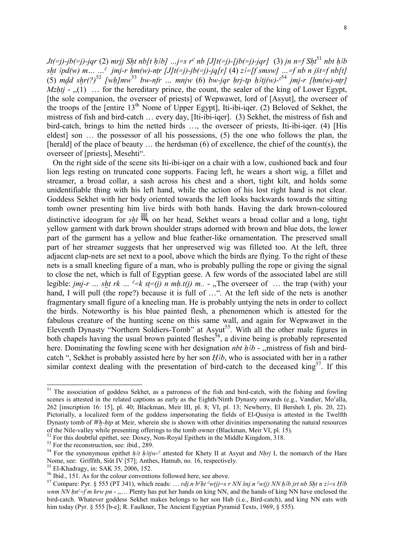*Jt(=j)-jb(=j)-jqr* (2) *mrjj Sht nb[t h3b]* …*j*=s r<sup>c</sup> nb [J]t(=j)-[jb(=j)-jqr] (3) jn n=f Sht<sup>51</sup> nbt h3b *sXt #pd(w) m… …o jmj-r Hm(w)-nTr [J]t(=j)-jb(=j)-jq[r]* (4) *z#=[f smsw] …=f nb n jSt=f nb[t]*  (5) *mdd shr*(?)<sup>52</sup> [wh]mw<sup>53</sup> bw-nfr ... mnjw (6) bw-jqr hrj-tp h3tj(w)-<sup>c54</sup> jmj-r [hm(w)-ntr] *Mzhti* - ..(1) ... for the hereditary prince, the count, the sealer of the king of Lower Egypt, [the sole companion, the overseer of priests] of Wepwawet, lord of [Asyut], the overseer of the troops of the [entire  $13<sup>th</sup>$  Nome of Upper Egypt], Iti-ibi-iqer. (2) Beloved of Sekhet, the mistress of fish and bird-catch … every day, [Iti-ibi-iqer]. (3) Sekhet, the mistress of fish and bird-catch, brings to him the netted birds …, the overseer of priests, Iti-ibi-iqer. (4) [His eldest] son … the possessor of all his possessions, (5) the one who follows the plan, the [herald] of the place of beauty ... the herdsman (6) of excellence, the chief of the count(s), the overseer of [priests], Mesehti".

 On the right side of the scene sits Iti-ibi-iqer on a chair with a low, cushioned back and four lion legs resting on truncated cone supports. Facing left, he wears a short wig, a fillet and streamer, a broad collar, a sash across his chest and a short, tight kilt, and holds some unidentifiable thing with his left hand, while the action of his lost right hand is not clear. Goddess Sekhet with her body oriented towards the left looks backwards towards the sitting tomb owner presenting him live birds with both hands. Having the dark brown-coloured distinctive ideogram for *sht*  $\frac{100}{100}$  on her head, Sekhet wears a broad collar and a long, tight yellow garment with dark brown shoulder straps adorned with brown and blue dots, the lower part of the garment has a yellow and blue feather-like ornamentation. The preserved small part of her streamer suggests that her unpreserved wig was filleted too. At the left, three adjacent clap-nets are set next to a pool, above which the birds are flying. To the right of these nets is a small kneeling figure of a man, who is probably pulling the rope or giving the signal to close the net, which is full of Egyptian geese. A few words of the associated label are still legible: *jmj-r* ... *sht rk* ...  $c=k$  *st=(j) n mh.t(j) m..* - "The overseer of ... the trap (with) your hand, I will pull (the rope?) because it is full of ...". At the left side of the nets is another fragmentary small figure of a kneeling man. He is probably untying the nets in order to collect the birds. Noteworthy is his blue painted flesh, a phenomenon which is attested for the fabulous creature of the hunting scene on this same wall, and again for Wepwawet in the Eleventh Dynasty "Northern Soldiers-Tomb" at Asyut<sup>55</sup>. With all the other male figures in both chapels having the usual brown painted fleshes<sup>56</sup>, a divine being is probably represented here. Dominating the fowling scene with her designation *nbt h<sub>3</sub>b* - ,,mistress of fish and birdcatch ", Sekhet is probably assisted here by her son *H*<sub>3</sub>*b*, who is associated with her in a rather similar context dealing with the presentation of bird-catch to the deceased king<sup>57</sup>. If this

<sup>&</sup>lt;sup>51</sup> The association of goddess Sekhet, as a patroness of the fish and bird-catch, with the fishing and fowling scenes is attested in the related captions as early as the Eighth/Ninth Dynasty onwards (e.g., Vandier, Mo<sup>c</sup>alla, 262 [inscription 16: 15], pl. 40; Blackman, Meir III, pl. 8; VI, pl. 13; Newberry, El Bersheh I, pls. 20, 22). Pictorially, a localized form of the goddess impersonating the fields of El-Qusiya is attested in the Twelfth Dynasty tomb of *Wh-htp* at Meir, wherein she is shown with other divinities impersonating the natural resources of the Nile-valley while presenting offerings to the tomb owner (Blackman, Meir VI, pl. 15).

 $52$  For this doubtful epithet, see: Doxey, Non-Royal Epithets in the Middle Kingdom, 318.

<sup>&</sup>lt;sup>53</sup> For the reconstruction, see: ibid., 289.

<sup>&</sup>lt;sup>54</sup> For the synonymous epithet *h<sub>3t</sub> h3tjw*-<sup>*c*</sup> attested for Khety II at Asyut and *Nhrj* I, the nomarch of the Hare Nome, see: Griffith, Siût IV [57]; Anthes, Hatnub, no. 16, respectively.

<sup>55</sup> El-Khadragy, in: SAK 35, 2006, 152.

 $56$  Ibid., 151. As for the colour conventions followed here, see above.

<sup>&</sup>lt;sup>57</sup> Compare: Pyr. § 555 (PT 341), which reads: ... *rdj.n b<sup>c</sup>ht <sup>c</sup>w(j)=s r NN šnj.n <sup>c</sup>w(j) NN h<sup>3</sup>b jrt nb Sht n z<sup>3</sup>=s H3b wnm NN hn<sup>c</sup>=f m hrw pn - ,...*. Plenty has put her hands on king NN, and the hands of king NN have enclosed the bird-catch. Whatever goddess Sekhet makes belongs to her son Hab (i.e., Bird-catch), and king NN eats with him today (Pyr. § 555 [b-e]; R. Faulkner, The Ancient Egyptian Pyramid Texts, 1969, § 555).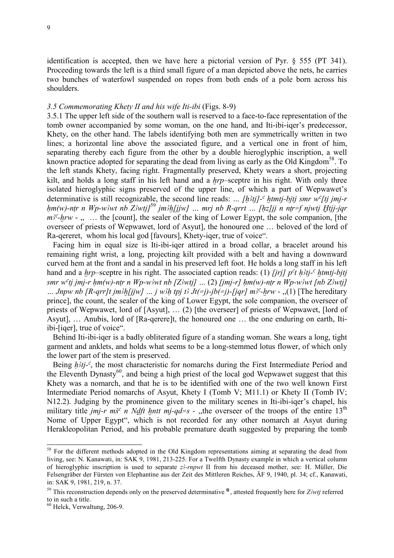identification is accepted, then we have here a pictorial version of Pyr. § 555 (PT 341). Proceeding towards the left is a third small figure of a man depicted above the nets, he carries two bunches of waterfowl suspended on ropes from both ends of a pole born across his shoulders.

# *3.5 Commemorating Khety II and his wife Iti-ibi* (Figs. 8-9)

3.5.1 The upper left side of the southern wall is reserved to a face-to-face representation of the tomb owner accompanied by some woman, on the one hand, and Iti-ibi-iqer's predecessor, Khety, on the other hand. The labels identifying both men are symmetrically written in two lines; a horizontal line above the associated figure, and a vertical one in front of him, separating thereby each figure from the other by a double hieroglyphic inscription, a well known practice adopted for separating the dead from living as early as the Old Kingdom<sup>58</sup>. To the left stands Khety, facing right. Fragmentally preserved, Khety wears a short, projecting kilt, and holds a long staff in his left hand and a *hrp*–sceptre in his right. With only three isolated hieroglyphic signs preserved of the upper line, of which a part of Wepwawet's determinative is still recognizable, the second line reads: ...  $[h\hat{t}t]$ <sup>-c</sup> htmtj-bjtj smr w<sup>c</sup>[tj jmj-r  $hm(w)$ -ntr n Wp-w<sup>3</sup>wt nb Z<sup>3</sup>wtj]<sup>59</sup> jm<sup>3</sup>h[jjw] ... mrj nb R-qrrt ... [hz]jj n ntr=f njwtj Htjj-jqr  $m<sup>3</sup>$ -hrw -  $\ldots$  ... the [count], the sealer of the king of Lower Egypt, the sole companion, [the overseer of priests of Wepwawet, lord of Asyut], the honoured one … beloved of the lord of Ra-qereret, whom his local god [favours], Khety-iqer, true of voice".

 Facing him in equal size is Iti-ibi-iqer attired in a broad collar, a bracelet around his remaining right wrist, a long, projecting kilt provided with a belt and having a downward curved hem at the front and a sandal in his preserved left foot. He holds a long staff in his left hand and a *hrp*–sceptre in his right. The associated caption reads: (1) *firil p<sup>ct</sup> h<sub>3tj</sub>-c htmtj-bjtj smr w<sup>c</sup>tj jmj-r hm(w)-ntr n Wp-w* $\delta$ wt nb [Z $\delta$ wtj] ... (2) [jmj-r] hm(w)-ntr n Wp-w $\delta$ wt [nb Z $\delta$ wtj] … *Jnpw nb* [R-qrr]t jm3h[jjw] … j w3h tpj t3  $Jt(=j)$ -jb(=j)-[jqr] m<sup>3c</sup>-hrw - ,,(1) [The hereditary prince], the count, the sealer of the king of Lower Egypt, the sole companion, the overseer of priests of Wepwawet, lord of [Asyut], … (2) [the overseer] of priests of Wepwawet, [lord of Asyut], … Anubis, lord of [Ra-qerere]t, the honoured one … the one enduring on earth, Itiibi-[iqer], true of voice".

 Behind Iti-ibi-iqer is a badly obliterated figure of a standing woman. She wears a long, tight garment and anklets, and holds what seems to be a long-stemmed lotus flower, of which only the lower part of the stem is preserved.

Being *h<sub>3tj</sub>*-c, the most characteristic for nomarchs during the First Intermediate Period and the Eleventh Dynasty<sup>60</sup>, and being a high priest of the local god Wepwawet suggest that this Khety was a nomarch, and that he is to be identified with one of the two well known First Intermediate Period nomarchs of Asyut, Khety I (Tomb V; M11.1) or Khety II (Tomb IV; N12.2). Judging by the prominence given to the military scenes in Iti-ibi-iqer's chapel, his military title *jmj-r mš<sup>c</sup> n Ndft hntt mj-qd=s* - ,,the overseer of the troops of the entire 13<sup>th</sup> Nome of Upper Egypt", which is not recorded for any other nomarch at Asyut during Herakleopolitan Period, and his probable premature death suggested by preparing the tomb

<sup>&</sup>lt;sup>58</sup> For the different methods adopted in the Old Kingdom representations aiming at separating the dead from living, see: N. Kanawati, in: SAK 9, 1981, 213-225. For a Twelfth Dynasty example in which a vertical column of hieroglyphic inscription is used to separate  $z\rightarrow rnpwt$  II from his deceased mother, see: H. Müller, Die Felsengräber der Fürsten von Elephantine aus der Zeit des Mittleren Reiches, ÄF 9, 1940, pl. 34; cf., Kanawati, in: SAK 9, 1981, 219, n. 37.

<sup>&</sup>lt;sup>59</sup> This reconstruction depends only on the preserved determinative  $\alpha$ , attested frequently here for *Z*<sub>*iwtj* referred</sub> to in such a title.

 $60$  Helck, Verwaltung, 206-9.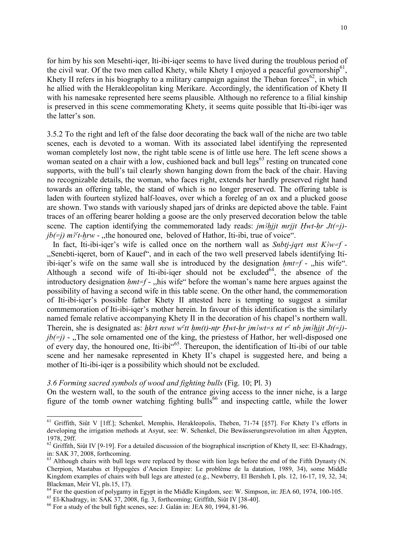for him by his son Mesehti-iqer, Iti-ibi-iqer seems to have lived during the troublous period of the civil war. Of the two men called Khety, while Khety I enjoyed a peaceful governorship<sup>61</sup>, Khety II refers in his biography to a military campaign against the Theban forces<sup>62</sup>, in which he allied with the Herakleopolitan king Merikare. Accordingly, the identification of Khety II with his namesake represented here seems plausible. Although no reference to a filial kinship is preserved in this scene commemorating Khety, it seems quite possible that Iti-ibi-iqer was the latter's son.

3.5.2 To the right and left of the false door decorating the back wall of the niche are two table scenes, each is devoted to a woman. With its associated label identifying the represented woman completely lost now, the right table scene is of little use here. The left scene shows a woman seated on a chair with a low, cushioned back and bull  $\text{legs}^{63}$  resting on truncated cone supports, with the bull's tail clearly shown hanging down from the back of the chair. Having no recognizable details, the woman, who faces right, extends her hardly preserved right hand towards an offering table, the stand of which is no longer preserved. The offering table is laden with fourteen stylized half-loaves, over which a foreleg of an ox and a plucked goose are shown. Two stands with variously shaped jars of drinks are depicted above the table. Faint traces of an offering bearer holding a goose are the only preserved decoration below the table scene. The caption identifying the commemorated lady reads: *jm3hjjt mrjjt Hwt-hr Jt(=j)* $jb(\neq j)$   $m$ <sup>2</sup>t-hrw - ,,the honoured one, beloved of Hathor, Iti-ibi, true of voice".

In fact, Iti-ibi-iqer's wife is called once on the northern wall as *Snbtj-jqrt mst K3w=f* -,,Senebti-iqeret, born of Kauef", and in each of the two well preserved labels identifying Itiibi-iger's wife on the same wall she is introduced by the designation  $hmt=f$  - ,,his wife". Although a second wife of Iti-ibi-iqer should not be excluded<sup>64</sup>, the absence of the introductory designation *Hmt=f* - ,,his wife" before the woman's name here argues against the possibility of having a second wife in this table scene. On the other hand, the commemoration of Iti-ibi-iqer's possible father Khety II attested here is tempting to suggest a similar commemoration of Iti-ibi-iqer's mother herein. In favour of this identification is the similarly named female relative accompanying Khety II in the decoration of his chapel's northern wall. Therein, she is designated as: *hkrt nswt w<sup>c</sup>tt hm(t)-ntr Hwt-hr jm3wt=s nt r<sup>c</sup> nb jm3hjjt Jt(=j)* $jb(\neq j)$  - ,,The sole ornamented one of the king, the priestess of Hathor, her well-disposed one of every day, the honoured one, Iti-ibi $\frac{65}{65}$ . Thereupon, the identification of Iti-ibi of our table scene and her namesake represented in Khety II's chapel is suggested here, and being a mother of Iti-ibi-iqer is a possibility which should not be excluded.

#### *3.6 Forming sacred symbols of wood and fighting bulls* (Fig. 10; Pl. 3)

On the western wall, to the south of the entrance giving access to the inner niche, is a large figure of the tomb owner watching fighting bulls<sup>66</sup> and inspecting cattle, while the lower

<sup>&</sup>lt;sup>61</sup> Griffith, Siût V [1ff.]; Schenkel, Memphis, Herakleopolis, Theben, 71-74 [§57]. For Khety I's efforts in developing the irrigation methods at Asyut, see: W. Schenkel, Die Bewässerungsrevolution im alten Ägypten, 1978, 29ff.

 $62$  Griffith, Siût IV [9-19]. For a detailed discussion of the biographical inscription of Khety II, see: El-Khadragy, in: SAK 37, 2008, forthcoming.

 $<sup>63</sup>$  Although chairs with bull legs were replaced by those with lion legs before the end of the Fifth Dynasty (N.</sup> Cherpion, Mastabas et Hypogées d'Ancien Empire: Le problème de la datation, 1989, 34), some Middle Kingdom examples of chairs with bull legs are attested (e.g., Newberry, El Bersheh I, pls. 12, 16-17, 19, 32, 34; Blackman, Meir VI, pls.15, 17).

<sup>&</sup>lt;sup>64</sup> For the question of polygamy in Egypt in the Middle Kingdom, see: W. Simpson, in: JEA 60, 1974, 100-105.

 $^{65}$  El-Khadragy, in: SAK 37, 2008, fig. 3, forthcoming; Griffith, Siût IV [38-40].

<sup>66</sup> For a study of the bull fight scenes, see: J. Galán in: JEA 80, 1994, 81-96.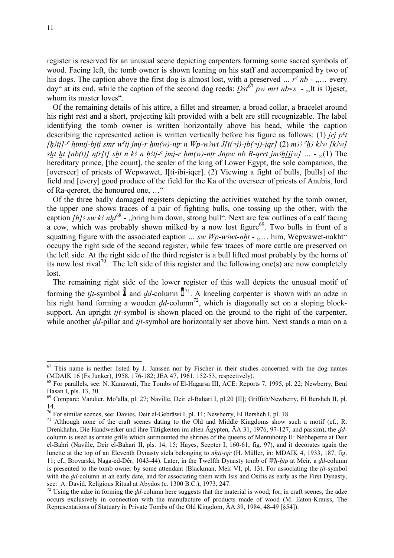register is reserved for an unusual scene depicting carpenters forming some sacred symbols of wood. Facing left, the tomb owner is shown leaning on his staff and accompanied by two of his dogs. The caption above the first dog is almost lost, with a preserved  $\ldots$  r<sup>c</sup> nb  $\cdot$   $\ldots$ , every day" at its end, while the caption of the second dog reeds:  $Dst^{67}$  *pw mrt nb=s* - ,,It is Dieset, whom its master loves".

 Of the remaining details of his attire, a fillet and streamer, a broad collar, a bracelet around his right rest and a short, projecting kilt provided with a belt are still recognizable. The label identifying the tomb owner is written horizontally above his head, while the caption describing the represented action is written vertically before his figure as follows: (1) *jrj p<sup>c</sup>t [h3tj]-c htmtj-bjtj smr wctj jmj-r hm(w)-ntr n Wp-w3wt J[t(=j)-jb(=j)-jqr] (2) m33 ch3 k3w [k3w] sht ht [nb(t)] nfr[t] sht n k3 n h3tj-<sup>c</sup> jmj-r hm(w)-ntr Jnpw nb R-qrrt jm3h[jjw]* ... -  $(1)$  The hereditary prince, [the count], the sealer of the king of Lower Egypt, the sole companion, the [overseer] of priests of Wepwawet, I[ti-ibi-iqer]. (2) Viewing a fight of bulls, [bulls] of the field and [every] good produce of the field for the Ka of the overseer of priests of Anubis, lord of Ra-qereret, the honoured one, …"

 Of the three badly damaged registers depicting the activities watched by the tomb owner, the upper one shows traces of a pair of fighting bulls, one tossing up the other, with the caption *[h]* sw k nht<sup>68</sup> - ,,bring him down, strong bull". Next are few outlines of a calf facing a cow, which was probably shown milked by a now lost figure<sup>69</sup>. Two bulls in front of a squatting figure with the associated caption  $\ldots$  *sw Wp-w?wt-nht* -  $\ldots$ , him, Wepwawet-nakht" occupy the right side of the second register, while few traces of more cattle are preserved on the left side. At the right side of the third register is a bull lifted most probably by the horns of its now lost rival<sup>70</sup>. The left side of this register and the following one(s) are now completely lost.

 The remaining right side of the lower register of this wall depicts the unusual motif of forming the *tjt*-symbol  $\oint$  and *dd*-column  $\frac{1}{2}$ . A kneeling carpenter is shown with an adze in his right hand forming a wooden  $dd$ -column<sup>72</sup>, which is diagonally set on a sloping blocksupport. An upright *tjt-*symbol is shown placed on the ground to the right of the carpenter, while another *dd*-pillar and *tjt*-symbol are horizontally set above him. Next stands a man on a

 $67$  This name is neither listed by J. Janssen nor by Fischer in their studies concerned with the dog names (MDAIK 16 (Fs Junker), 1958, 176-182; JEA 47, 1961, 152-53, respectively).

<sup>&</sup>lt;sup>68</sup> For parallels, see: N. Kanawati, The Tombs of El-Hagarsa III, ACE: Reports 7, 1995, pl. 22; Newberry, Beni Hasan I, pls. 13, 30.

<sup>&</sup>lt;sup>69</sup> Compare: Vandier, Mo<sup>c</sup>alla, pl. 27; Naville, Deir el-Bahari I, pl.20 [II]; Griffith/Newberry, El Bersheh II, pl. 14.

<sup>70</sup> For similar scenes, see: Davies, Deir el-Gebrâwi I, pl. 11; Newberry, El Bersheh I, pl. 18.

<sup>&</sup>lt;sup>71</sup> Although none of the craft scenes dating to the Old and Middle Kingdoms show such a motif (cf., R. Drenkhahn, Die Handwerker und ihre Tätigkeiten im alten Ägypten, ÄA 31, 1976, 97-127, and passim), the *dd*column is used as ornate grills which surmounted the shrines of the queens of Mentuhotep II: Nebhepetre at Deir el-Bahri (Naville, Deir el-Bahari II, pls. 14, 15; Hayes, Scepter I, 160-61, fig. 97), and it decorates again the lunette at the top of an Eleventh Dynasty stela belonging to *nhtj-jqr* (H. Müller, in: MDAIK 4, 1933, 187, fig. 11; cf., Brovarski, Naga-ed-Dêr, 1043-44). Later, in the Twelfth Dynasty tomb of *Wh-htp* at Meir, a *dd*-column is presented to the tomb owner by some attendant (Blackman, Meir VI, pl. 13). For associating the *tjt-*symbol with the *dd*-column at an early date, and for associating them with Isis and Osiris as early as the First Dynasty, see: A. David, Religious Ritual at Abydos (c. 1300 B.C.), 1973, 247.

 $72$  Using the adze in forming the *dd*-column here suggests that the material is wood; for, in craft scenes, the adze occurs exclusively in connection with the manufacture of products made of wood (M. Eaton-Krauss, The Representations of Statuary in Private Tombs of the Old Kingdom, ÄA 39, 1984, 48-49 [§54]).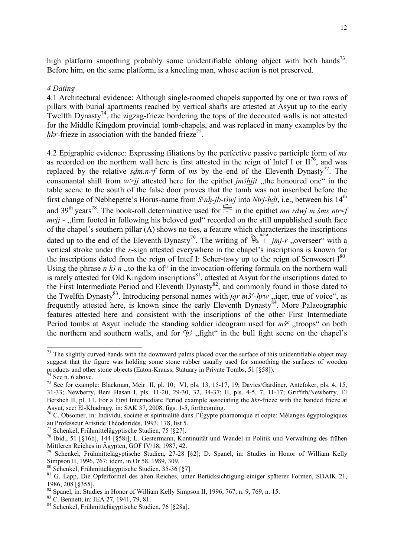high platform smoothing probably some unidentifiable oblong object with both hands<sup>73</sup>. Before him, on the same platform, is a kneeling man, whose action is not preserved.

## *4 Dating*

4.1 Architectural evidence: Although single-roomed chapels supported by one or two rows of pillars with burial apartments reached by vertical shafts are attested at Asyut up to the early Twelfth Dynasty<sup>74</sup>, the zigzag-frieze bordering the tops of the decorated walls is not attested for the Middle Kingdom provincial tomb-chapels, and was replaced in many examples by the *hkr*-frieze in association with the banded frieze<sup>75</sup>.

4.2 Epigraphic evidence: Expressing filiations by the perfective passive participle form of *ms*  as recorded on the northern wall here is first attested in the reign of Intef I or  $II^{76}$ , and was replaced by the relative  $sdm.n=f$  form of ms by the end of the Eleventh Dynasty<sup>77</sup>. The consonantal shift from  $w > jj$  attested here for the epithet *jm Xhjjt* ,,the honoured one" in the table scene to the south of the false door proves that the tomb was not inscribed before the first change of Nebhepetre's Horus-name from  $S<sup>c</sup>nh-jb-t/wj$  into *Ntrj-hdt*, i.e., between his 14<sup>th</sup> and 39<sup>th</sup> years<sup>78</sup>. The book-roll determinative used for  $\equiv$  in the epithet *mn rdwj m šms ntr=f mrjj* - "firm footed in following his beloved god" recorded on the still unpublished south face of the chapel's southern pillar (A) shows no ties, a feature which characterizes the inscriptions dated up to the end of the Eleventh Dynasty<sup>79</sup>. The writing of  $\mathbb{R}$  is *jmj-r*, overseer" with a vertical stroke under the *r*-sign attested everywhere in the chapel's inscriptions is known for the inscriptions dated from the reign of Intef I: Seher-tawy up to the reign of Senwosert  $I^{80}$ . Using the phrase *n k<sub>3</sub> n*, to the ka of<sup>"</sup> in the invocation-offering formula on the northern wall is rarely attested for Old Kingdom inscriptions<sup>81</sup>, attested at Asyut for the inscriptions dated to the First Intermediate Period and Eleventh Dynasty<sup>82</sup>, and commonly found in those dated to the Twelfth Dynasty<sup>83</sup>. Introducing personal names with *jqr m3<sup>c</sup>-hrw*, *jqer*, true of voice", as frequently attested here, is known since the early Eleventh Dynasty<sup>84</sup>. More Palaeographic features attested here and consistent with the inscriptions of the other First Intermediate Period tombs at Asyut include the standing soldier ideogram used for  $m\breve{s}^c$ , troops" on both the northern and southern walls, and for  $h^3$ , fight" in the bull fight scene on the chapel's

<sup>-</sup> $73$  The slightly curved hands with the downward palms placed over the surface of this unidentifiable object may suggest that the figure was holding some stone rubber usually used for smoothing the surfaces of wooden products and other stone objects (Eaton-Krauss, Statuary in Private Tombs, 51 [§58]).

 $74$  See n. 6 above.

<sup>&</sup>lt;sup>75</sup> See for example: Blackman, Meir II, pl. 10; VI, pls. 13, 15-17, 19; Davies/Gardiner, Antefoker, pls. 4, 15, 31-33; Newberry, Beni Hasan I, pls. 11-20, 29-30, 32, 34-37; II, pls. 4-5, 7, 11-17; Griffith/Newberry, El Bersheh II, pl. 11. For a First Intermediate Period example associating the *hkr*-frieze with the banded frieze at Asyut, see: El-Khadragy, in: SAK 37, 2008, figs. 1-5, forthcoming.

<sup>76</sup> C. Obsomer, in: Individu, société et spiritualité dans l'Égypte pharaonique et copte: Mélanges égyptologiques au Professeur Aristide Théodoridès, 1993, 178, list 5.

 $^{77}$  Schenkel, Frühmittelägyptische Studien, 75 [§27].

<sup>78</sup> Ibid., 51 [§16b], 144 [§58i]; L. Gestermann, Kontinuität und Wandel in Politik und Verwaltung des frühen Mittleren Reiches in Ägypten, GOF IV/18, 1987, 42.

<sup>79</sup> Schenkel, Frühmittelägyptische Studien, 27-28 [§2]; D. Spanel, in: Studies in Honor of William Kelly Simpson II, 1996, 767; idem, in Or 58, 1989, 309.

<sup>80</sup> Schenkel, Frühmittelägyptische Studien, 35-36 [§7].

<sup>81</sup> G. Lapp, Die Opferformel des alten Reiches, unter Berücksichtigung einiger späterer Formen, SDAIK 21, 1986, 208 [§355].

<sup>82</sup> Spanel, in: Studies in Honor of William Kelly Simpson II, 1996, 767, n. 9, 769, n. 15.

<sup>83</sup> C. Bennett, in: JEA 27, 1941, 79, 81.

<sup>84</sup> Schenkel, Frühmittelägyptische Studien, 76 [§28a].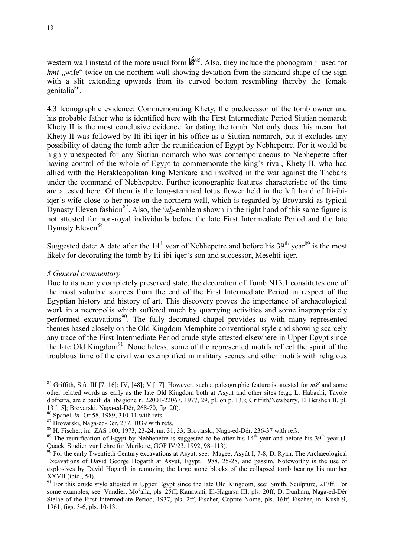western wall instead of the more usual form  $\mathbb{I}^{\{885\}}$ . Also, they include the phonogram  $\circ$  used for *hmt* ,,wife" twice on the northern wall showing deviation from the standard shape of the sign with a slit extending upwards from its curved bottom resembling thereby the female genitalia<sup>86</sup>.

4.3 Iconographic evidence: Commemorating Khety, the predecessor of the tomb owner and his probable father who is identified here with the First Intermediate Period Siutian nomarch Khety II is the most conclusive evidence for dating the tomb. Not only does this mean that Khety II was followed by Iti-ibi-iqer in his office as a Siutian nomarch, but it excludes any possibility of dating the tomb after the reunification of Egypt by Nebhepetre. For it would be highly unexpected for any Siutian nomarch who was contemporaneous to Nebhepetre after having control of the whole of Egypt to commemorate the king's rival, Khety II, who had allied with the Herakleopolitan king Merikare and involved in the war against the Thebans under the command of Nebhepetre. Further iconographic features characteristic of the time are attested here. Of them is the long-stemmed lotus flower held in the left hand of Iti-ibiiqer's wife close to her nose on the northern wall, which is regarded by Brovarski as typical Dynasty Eleven fashion<sup>87</sup>. Also, the  $<sup>c</sup>nh$ -emblem shown in the right hand of this same figure is</sup> not attested for non-royal individuals before the late First Intermediate Period and the late Dynasty Eleven<sup>88</sup>.

Suggested date: A date after the  $14<sup>th</sup>$  year of Nebhepetre and before his  $39<sup>th</sup>$  year<sup>89</sup> is the most likely for decorating the tomb by Iti-ibi-iqer's son and successor, Mesehti-iqer.

# *5 General commentary*

-

Due to its nearly completely preserved state, the decoration of Tomb N13.1 constitutes one of the most valuable sources from the end of the First Intermediate Period in respect of the Egyptian history and history of art. This discovery proves the importance of archaeological work in a necropolis which suffered much by quarrying activities and some inappropriately performed excavations<sup>90</sup>. The fully decorated chapel provides us with many represented themes based closely on the Old Kingdom Memphite conventional style and showing scarcely any trace of the First Intermediate Period crude style attested elsewhere in Upper Egypt since the late Old Kingdom<sup>91</sup>. Nonetheless, some of the represented motifs reflect the spirit of the troublous time of the civil war exemplified in military scenes and other motifs with religious

<sup>&</sup>lt;sup>85</sup> Griffith, Siût III [7, 16]; IV, [48]; V [17]. However, such a paleographic feature is attested for  $m\breve{s}^c$  and some other related words as early as the late Old Kingdom both at Asyut and other sites (e.g., L. Habachi, Tavole d'offerta, are e bacili da libagione n. 22001-22067, 1977, 29, pl. on p. 133; Griffith/Newberry, El Bersheh II, pl. 13 [15]; Brovarski, Naga-ed-Dêr, 268-70, fig. 20).

<sup>86</sup> Spanel, *in:* Or 58, 1989, 310-11 with refs.

<sup>87</sup> Brovarski, Naga-ed-Dêr, 237, 1039 with refs.

<sup>88</sup> H. Fischer, in: ZÄS 100, 1973, 23-24, nn. 31, 33; Brovarski, Naga-ed-Dêr, 236-37 with refs.

<sup>&</sup>lt;sup>89</sup> The reunification of Egypt by Nebhepetre is suggested to be after his  $14<sup>th</sup>$  year and before his 39<sup>th</sup> year (J. Quack, Studien zur Lehre für Merikare, GOF IV/23, 1992, 98–113).

 $90$  For the early Twentieth Century excavations at Asyut, see: Magee, Asyût I, 7-8; D. Ryan, The Archaeological Excavations of David George Hogarth at Asyut, Egypt, 1988, 25-28, and passim. Noteworthy is the use of explosives by David Hogarth in removing the large stone blocks of the collapsed tomb bearing his number XXVII (ibid., 54).

<sup>&</sup>lt;sup>91</sup> For this crude style attested in Upper Egypt since the late Old Kingdom, see: Smith, Sculpture, 217ff. For some examples, see: Vandier, Mo<sup>c</sup>alla, pls. 25ff; Kanawati, El-Hagarsa III, pls. 20ff; D. Dunham, Naga-ed-Dêr Stelae of the First Intermediate Period, 1937, pls. 2ff; Fischer, Coptite Nome, pls. 16ff; Fischer, in: Kush 9, 1961, figs. 3-6, pls. 10-13.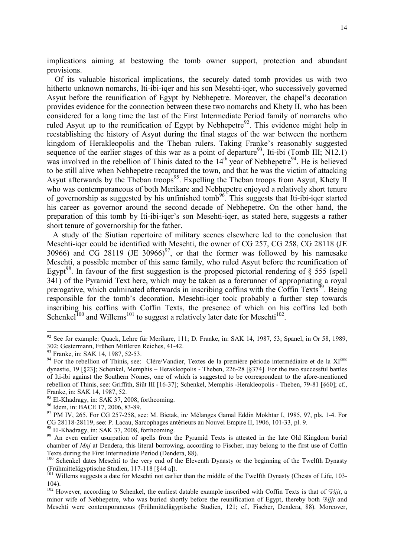implications aiming at bestowing the tomb owner support, protection and abundant provisions.

 Of its valuable historical implications, the securely dated tomb provides us with two hitherto unknown nomarchs, Iti-ibi-iqer and his son Mesehti-iqer, who successively governed Asyut before the reunification of Egypt by Nebhepetre. Moreover, the chapel's decoration provides evidence for the connection between these two nomarchs and Khety II, who has been considered for a long time the last of the First Intermediate Period family of nomarchs who ruled Asyut up to the reunification of Egypt by Nebhepetre<sup>92</sup>. This evidence might help in reestablishing the history of Asyut during the final stages of the war between the northern kingdom of Herakleopolis and the Theban rulers. Taking Franke's reasonably suggested sequence of the earlier stages of this war as a point of departure<sup>93</sup>, Iti-ibi (Tomb III; N12.1) was involved in the rebellion of Thinis dated to the  $14<sup>th</sup>$  year of Nebhepetre<sup>94</sup>. He is believed to be still alive when Nebhepetre recaptured the town, and that he was the victim of attacking Asyut afterwards by the Theban troops<sup>95</sup>. Expelling the Theban troops from Asyut, Khety II who was contemporaneous of both Merikare and Nebhepetre enjoyed a relatively short tenure of governorship as suggested by his unfinished tomb<sup>96</sup>. This suggests that Iti-ibi-iqer started his career as governor around the second decade of Nebhepetre. On the other hand, the preparation of this tomb by Iti-ibi-iqer's son Mesehti-iqer, as stated here, suggests a rather short tenure of governorship for the father.

 A study of the Siutian repertoire of military scenes elsewhere led to the conclusion that Mesehti-iqer could be identified with Mesehti, the owner of CG 257, CG 258, CG 28118 (JE 30966) and CG 28119 (JE 30966) $97$ , or that the former was followed by his namesake Mesehti, a possible member of this same family, who ruled Asyut before the reunification of Egypt<sup>98</sup>. In favour of the first suggestion is the proposed pictorial rendering of  $\S$  555 (spell 341) of the Pyramid Text here, which may be taken as a forerunner of appropriating a royal prerogative, which culminated afterwards in inscribing coffins with the Coffin Texts<sup>99</sup>. Being responsible for the tomb's decoration, Mesehti-iqer took probably a further step towards inscribing his coffins with Coffin Texts, the presence of which on his coffins led both Schenkel<sup>100</sup> and Willems<sup>101</sup> to suggest a relatively later date for Mesehti<sup>102</sup>.

<sup>&</sup>lt;sup>92</sup> See for example: Quack, Lehre für Merikare, 111; D. Franke, in: SAK 14, 1987, 53; Spanel, in Or 58, 1989, 302; Gestermann, Frühen Mittleren Reiches, 41-42.

<sup>&</sup>lt;sup>93</sup> Franke, in: SAK 14, 1987, 52-53.

<sup>&</sup>lt;sup>94</sup> For the rebellion of Thinis, see: Clère/Vandier, Textes de la première période intermédiaire et de la XI<sup>ème</sup> dynastie, 19 [§23]; Schenkel, Memphis – Herakleopolis - Theben, 226-28 [§374]. For the two successful battles of Iti-ibi against the Southern Nomes, one of which is suggested to be correspondent to the afore-mentioned rebellion of Thinis, see: Griffith, Siût III [16-37]; Schenkel, Memphis -Herakleopolis - Theben, 79-81 [§60]; cf., Franke, in: SAK 14, 1987, 52.

<sup>&</sup>lt;sup>95</sup> El-Khadragy, in: SAK 37, 2008, forthcoming.

<sup>96</sup> Idem, in: BACE 17, 2006, 83-89.

<sup>97</sup> PM IV, 265. For CG 257-258, see: M. Bietak, in*:* Mélanges Gamal Eddin Mokhtar I, 1985, 97, pls. 1-4. For CG 28118-28119, see: P. Lacau, Sarcophages antérieurs au Nouvel Empire II, 1906, 101-33, pl. 9.

<sup>98</sup> El-Khadragy, in: SAK 37, 2008, forthcoming.

<sup>&</sup>lt;sup>99</sup> An even earlier usurpation of spells from the Pyramid Texts is attested in the late Old Kingdom burial chamber of *Mnj* at Dendera, this literal borrowing, according to Fischer, may belong to the first use of Coffin Texts during the First Intermediate Period (Dendera, 88).

<sup>&</sup>lt;sup>100</sup> Schenkel dates Mesehti to the very end of the Eleventh Dynasty or the beginning of the Twelfth Dynasty (Frühmittelägyptische Studien, 117-118 [§44 a]).

<sup>&</sup>lt;sup>101</sup> Willems suggests a date for Mesehti not earlier than the middle of the Twelfth Dynasty (Chests of Life, 103-104).

<sup>&</sup>lt;sup>102</sup> However, according to Schenkel, the earliest datable example inscribed with Coffin Texts is that of  $\frac{65}{j}$ jt, a minor wife of Nebhepetre, who was buried shortly before the reunification of Egypt, thereby both *Sifjt* and Mesehti were contemporaneous (Frühmittelägyptische Studien, 121; cf., Fischer, Dendera, 88). Moreover,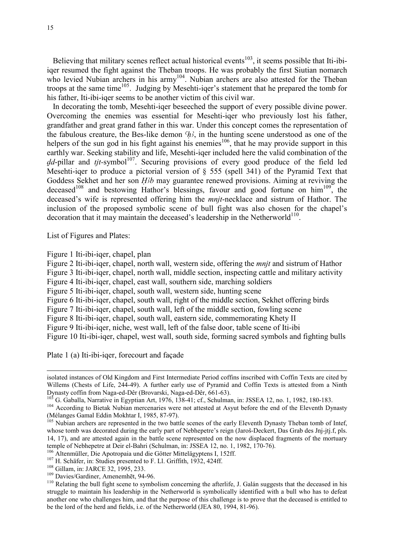Believing that military scenes reflect actual historical events<sup>103</sup>, it seems possible that Iti-ibiiqer resumed the fight against the Theban troops. He was probably the first Siutian nomarch who levied Nubian archers in his army<sup>104</sup>. Nubian archers are also attested for the Theban troops at the same time<sup>105</sup>. Judging by Mesehti-iqer's statement that he prepared the tomb for his father, Iti-ibi-iqer seems to be another victim of this civil war.

 In decorating the tomb, Mesehti-iqer beseeched the support of every possible divine power. Overcoming the enemies was essential for Mesehti-iqer who previously lost his father, grandfather and great grand father in this war. Under this concept comes the representation of the fabulous creature, the Bes-like demon  $\mathcal{H}$ , in the hunting scene understood as one of the helpers of the sun god in his fight against his enemies<sup>106</sup>, that he may provide support in this earthly war. Seeking stability and life, Mesehti-iqer included here the valid combination of the dd-pillar and tjt-symbol<sup>107</sup>. Securing provisions of every good produce of the field led Mesehti-iqer to produce a pictorial version of § 555 (spell 341) of the Pyramid Text that Goddess Sekhet and her son *H<sub>ib</sub>* may guarantee renewed provisions. Aiming at reviving the deceased<sup>108</sup> and bestowing Hathor's blessings, favour and good fortune on  $\text{him}^{109}$ , the deceased's wife is represented offering him the *mnjt*-necklace and sistrum of Hathor. The inclusion of the proposed symbolic scene of bull fight was also chosen for the chapel's decoration that it may maintain the deceased's leadership in the Netherworld $110$ .

List of Figures and Plates:

-

Figure 1 Iti-ibi-iqer, chapel, plan

Figure 2 Iti-ibi-iqer, chapel, north wall, western side, offering the *mnjt* and sistrum of Hathor Figure 3 Iti-ibi-iqer, chapel, north wall, middle section, inspecting cattle and military activity Figure 4 Iti-ibi-iger, chapel, east wall, southern side, marching soldiers Figure 5 Iti-ibi-iqer, chapel, south wall, western side, hunting scene Figure 6 Iti-ibi-iqer, chapel, south wall, right of the middle section, Sekhet offering birds Figure 7 Iti-ibi-iqer, chapel, south wall, left of the middle section, fowling scene Figure 8 Iti-ibi-iqer, chapel, south wall, eastern side, commemorating Khety II Figure 9 Iti-ibi-iqer, niche, west wall, left of the false door, table scene of Iti-ibi Figure 10 Iti-ibi-iqer, chapel, west wall, south side, forming sacred symbols and fighting bulls

Plate 1 (a) Iti-ibi-iqer, forecourt and façade

isolated instances of Old Kingdom and First Intermediate Period coffins inscribed with Coffin Texts are cited by Willems (Chests of Life, 244-49). A further early use of Pyramid and Coffin Texts is attested from a Ninth Dynasty coffin from Naga-ed-Dêr (Brovarski, Naga-ed-Dêr, 661-63).

<sup>103</sup> G. Gaballa, Narrative in Egyptian Art, 1976, 138-41; cf., Schulman, in: JSSEA 12, no. 1, 1982, 180-183.

<sup>&</sup>lt;sup>104</sup> According to Bietak Nubian mercenaries were not attested at Asyut before the end of the Eleventh Dynasty (Mélanges Gamal Eddin Mokhtar I, 1985, 87-97).

<sup>&</sup>lt;sup>105</sup> Nubian archers are represented in the two battle scenes of the early Eleventh Dynasty Theban tomb of Intef, whose tomb was decorated during the early part of Nebhepetre's reign (Jaroš-Deckert, Das Grab des Jnj-jtj.f, pls. 14, 17), and are attested again in the battle scene represented on the now displaced fragments of the mortuary temple of Nebhepetre at Deir el-Bahri (Schulman, in: JSSEA 12, no. 1, 1982, 170-76).

<sup>&</sup>lt;sup>106</sup> Altenmüller, Die Apotropaia und die Götter Mittelägyptens I, 152ff.

<sup>107</sup> H. Schäfer, in: Studies presented to F. Ll. Griffith, 1932, 424ff.

<sup>&</sup>lt;sup>108</sup> Gillam, in: JARCE 32, 1995, 233.

<sup>109</sup> Davies/Gardiner, Amenemhēt, 94-96.

<sup>&</sup>lt;sup>110</sup> Relating the bull fight scene to symbolism concerning the afterlife, J. Galán suggests that the deceased in his struggle to maintain his leadership in the Netherworld is symbolically identified with a bull who has to defeat another one who challenges him, and that the purpose of this challenge is to prove that the deceased is entitled to be the lord of the herd and fields, i.e. of the Netherworld (JEA 80, 1994, 81-96).